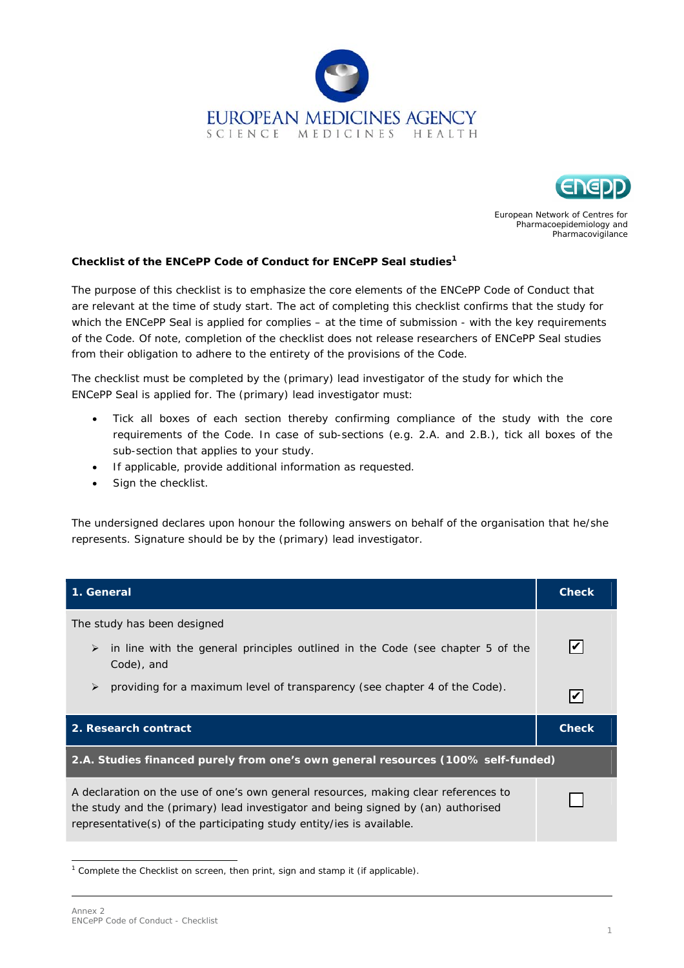



European Network of Centres for Pharmacoepidemiology and Pharmacovigilance

## **Checklist of the ENCePP Code of Conduct for ENCePP Seal st[ud](#page-0-0)ies 1**

The purpose of this checklist is to emphasize the core elements of the ENCePP Code of Conduct that are relevant at the time of study start. The act of completing this checklist confirms that the study for which the ENCePP Seal is applied for complies – at the time of submission - with the key requirements of the Code. Of note, completion of the checklist does not release researchers of ENCePP Seal studies from their obligation to adhere to the entirety of the provisions of the Code.

The checklist must be completed by the (primary) lead investigator of the study for which the ENCePP Seal is applied for. The (primary) lead investigator must:

- Tick all boxes of each section thereby confirming compliance of the study with the core requirements of the Code. In case of sub-sections (e.g. 2.A. and 2.B.), tick all boxes of the sub-section that applies to your study.
- If applicable, provide additional information as requested.
- Sign the checklist.

*The undersigned declares upon honour the following answers on behalf of the organisation that he/she represents. Signature should be by the (primary) lead investigator.* 

| 1. General                                                                                                                                                                                                                                        | <b>Check</b> |  |
|---------------------------------------------------------------------------------------------------------------------------------------------------------------------------------------------------------------------------------------------------|--------------|--|
| The study has been designed                                                                                                                                                                                                                       |              |  |
| in line with the general principles outlined in the Code (see chapter 5 of the<br>➤<br>Code), and                                                                                                                                                 |              |  |
| providing for a maximum level of transparency (see chapter 4 of the Code).<br>$\blacktriangleright$                                                                                                                                               |              |  |
| 2. Research contract                                                                                                                                                                                                                              | <b>Check</b> |  |
| 2.A. Studies financed purely from one's own general resources (100% self-funded)                                                                                                                                                                  |              |  |
| A declaration on the use of one's own general resources, making clear references to<br>the study and the (primary) lead investigator and being signed by (an) authorised<br>representative(s) of the participating study entity/ies is available. |              |  |

<span id="page-0-0"></span><sup>&</sup>lt;sup>1</sup> Complete the Checklist on screen, then print, sign and stamp it (if applicable).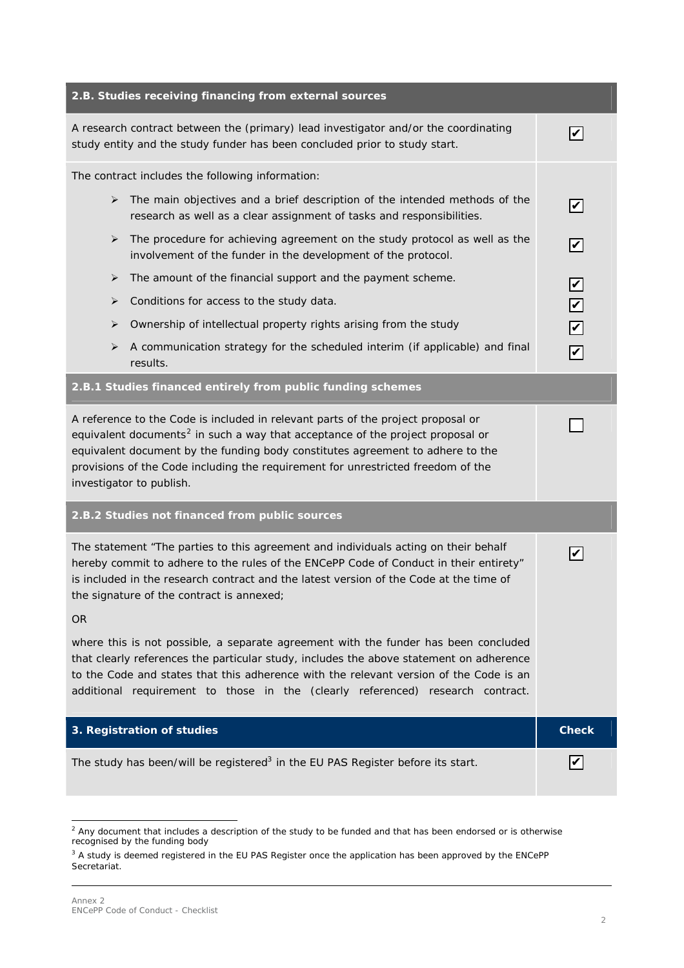| 2.B. Studies receiving financing from external sources                                                                                                                                                                                                                                                                                                                           |                             |
|----------------------------------------------------------------------------------------------------------------------------------------------------------------------------------------------------------------------------------------------------------------------------------------------------------------------------------------------------------------------------------|-----------------------------|
| A research contract between the (primary) lead investigator and/or the coordinating<br>study entity and the study funder has been concluded prior to study start.                                                                                                                                                                                                                | V                           |
| The contract includes the following information:                                                                                                                                                                                                                                                                                                                                 |                             |
| The main objectives and a brief description of the intended methods of the<br>➤<br>research as well as a clear assignment of tasks and responsibilities.                                                                                                                                                                                                                         | $\vert\bm{\mathsf{v}}\vert$ |
| The procedure for achieving agreement on the study protocol as well as the<br>➤<br>involvement of the funder in the development of the protocol.                                                                                                                                                                                                                                 | $\boxed{\mathcal{C}}$       |
| The amount of the financial support and the payment scheme.<br>➤                                                                                                                                                                                                                                                                                                                 | $\boxed{\mathbf{z}}$        |
| Conditions for access to the study data.<br>➤                                                                                                                                                                                                                                                                                                                                    | $\boxed{\mathbf{z}}$        |
| Ownership of intellectual property rights arising from the study<br>➤                                                                                                                                                                                                                                                                                                            | $\triangledown$             |
| A communication strategy for the scheduled interim (if applicable) and final<br>➤<br>results.                                                                                                                                                                                                                                                                                    | $\overline{\mathbf{v}}$     |
| 2.B.1 Studies financed entirely from public funding schemes                                                                                                                                                                                                                                                                                                                      |                             |
| A reference to the Code is included in relevant parts of the project proposal or<br>equivalent documents <sup>2</sup> in such a way that acceptance of the project proposal or<br>equivalent document by the funding body constitutes agreement to adhere to the<br>provisions of the Code including the requirement for unrestricted freedom of the<br>investigator to publish. |                             |
| 2.B.2 Studies not financed from public sources                                                                                                                                                                                                                                                                                                                                   |                             |
| The statement "The parties to this agreement and individuals acting on their behalf<br>hereby commit to adhere to the rules of the ENCePP Code of Conduct in their entirety"<br>is included in the research contract and the latest version of the Code at the time of<br>the signature of the contract is annexed;                                                              | V                           |
| <b>OR</b>                                                                                                                                                                                                                                                                                                                                                                        |                             |
| where this is not possible, a separate agreement with the funder has been concluded<br>that clearly references the particular study, includes the above statement on adherence<br>to the Code and states that this adherence with the relevant version of the Code is an<br>additional requirement to those in the (clearly referenced) research contract.                       |                             |
| 3. Registration of studies                                                                                                                                                                                                                                                                                                                                                       | <b>Check</b>                |
| The study has been/will be registered <sup>3</sup> in the EU PAS Register before its start.                                                                                                                                                                                                                                                                                      | V                           |

<span id="page-1-0"></span> $^2$  Any document that includes a description of the study to be funded and that has been endorsed or is otherwise recognised by the funding body

<span id="page-1-1"></span><sup>&</sup>lt;sup>3</sup> A study is deemed registered in the EU PAS Register once the application has been approved by the ENCePP Secretariat.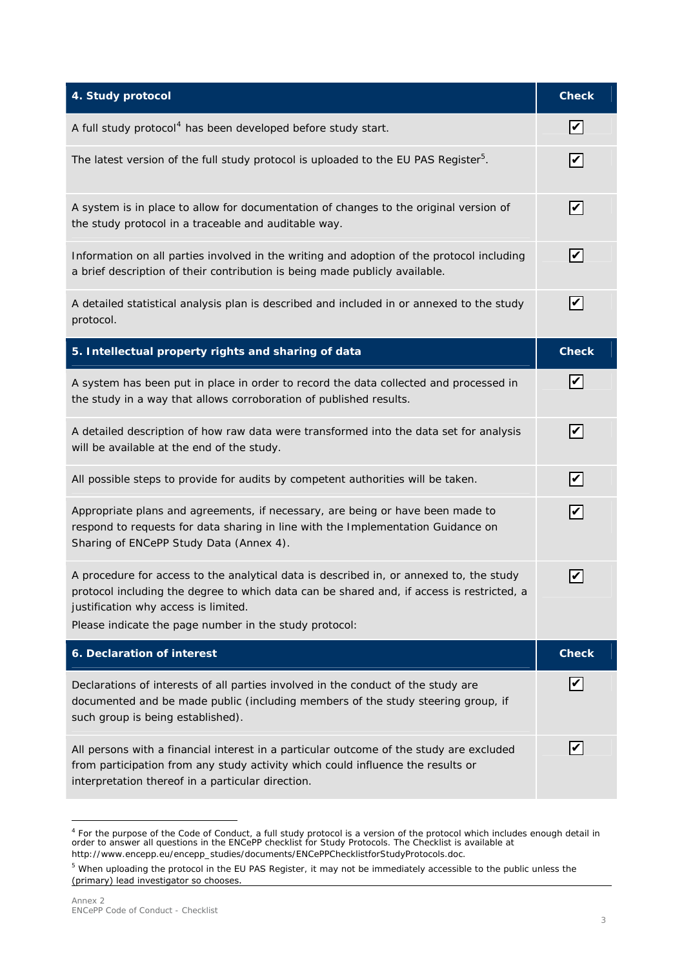| 4. Study protocol                                                                                                                                                                                                                                                                      | <b>Check</b>                              |
|----------------------------------------------------------------------------------------------------------------------------------------------------------------------------------------------------------------------------------------------------------------------------------------|-------------------------------------------|
| A full study protocol <sup>4</sup> has been developed before study start.                                                                                                                                                                                                              | V                                         |
| The latest version of the full study protocol is uploaded to the EU PAS Register <sup>5</sup> .                                                                                                                                                                                        | $\boldsymbol{ } \boldsymbol{\mathcal{V}}$ |
| A system is in place to allow for documentation of changes to the original version of<br>the study protocol in a traceable and auditable way.                                                                                                                                          | $\boldsymbol{V}$                          |
| Information on all parties involved in the writing and adoption of the protocol including<br>a brief description of their contribution is being made publicly available.                                                                                                               | $\blacktriangledown$                      |
| A detailed statistical analysis plan is described and included in or annexed to the study<br>protocol.                                                                                                                                                                                 | $\boldsymbol{ } \boldsymbol{\mathcal{V}}$ |
| 5. Intellectual property rights and sharing of data                                                                                                                                                                                                                                    | <b>Check</b>                              |
| A system has been put in place in order to record the data collected and processed in<br>the study in a way that allows corroboration of published results.                                                                                                                            | $\boldsymbol{ } \boldsymbol{\mathcal{V}}$ |
| A detailed description of how raw data were transformed into the data set for analysis<br>will be available at the end of the study.                                                                                                                                                   | V                                         |
| All possible steps to provide for audits by competent authorities will be taken.                                                                                                                                                                                                       | $\boldsymbol{V}$                          |
| Appropriate plans and agreements, if necessary, are being or have been made to<br>respond to requests for data sharing in line with the Implementation Guidance on<br>Sharing of ENCePP Study Data (Annex 4).                                                                          | $\overline{\mathbf{C}}$                   |
| A procedure for access to the analytical data is described in, or annexed to, the study<br>protocol including the degree to which data can be shared and, if access is restricted, a<br>justification why access is limited.<br>Please indicate the page number in the study protocol: |                                           |
| 6. Declaration of interest                                                                                                                                                                                                                                                             | <b>Check</b>                              |
| Declarations of interests of all parties involved in the conduct of the study are<br>documented and be made public (including members of the study steering group, if<br>such group is being established).                                                                             |                                           |
| All persons with a financial interest in a particular outcome of the study are excluded<br>from participation from any study activity which could influence the results or<br>interpretation thereof in a particular direction.                                                        |                                           |

<span id="page-2-0"></span><sup>&</sup>lt;sup>4</sup> For the purpose of the Code of Conduct, a *full* study protocol is a version of the protocol which includes enough detail in<br>order to answer all questions in the *ENCePP checklist for Study Protocols*. The *Checklist* http://www.encepp.eu/encepp\_studies/documents/ENCePPChecklistforStudyProtocols.doc.

<sup>5</sup> When uploading the protocol in the EU PAS Register, it may not be immediately accessible to the public unless the (primary) lead investigator so chooses.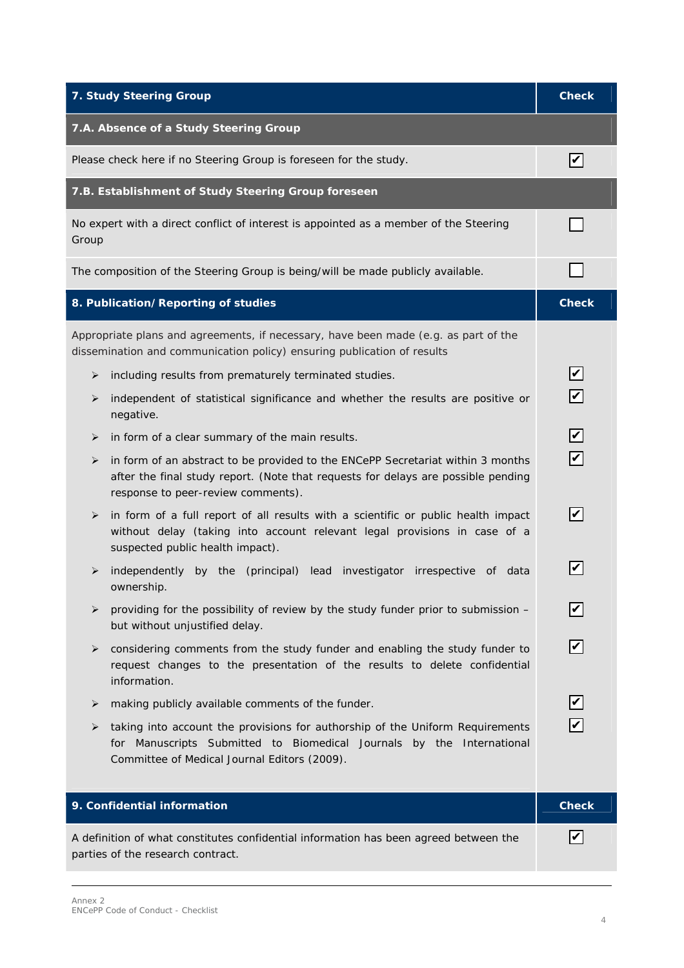| 7. Study Steering Group                                                                                                                                                                                         | <b>Check</b>                               |
|-----------------------------------------------------------------------------------------------------------------------------------------------------------------------------------------------------------------|--------------------------------------------|
| 7.A. Absence of a Study Steering Group                                                                                                                                                                          |                                            |
| Please check here if no Steering Group is foreseen for the study.                                                                                                                                               | $\boldsymbol{ } \boldsymbol{\mathcal{V}}$  |
| 7.B. Establishment of Study Steering Group foreseen                                                                                                                                                             |                                            |
| No expert with a direct conflict of interest is appointed as a member of the Steering<br>Group                                                                                                                  |                                            |
| The composition of the Steering Group is being/will be made publicly available.                                                                                                                                 |                                            |
| 8. Publication/Reporting of studies                                                                                                                                                                             | <b>Check</b>                               |
| Appropriate plans and agreements, if necessary, have been made (e.g. as part of the<br>dissemination and communication policy) ensuring publication of results                                                  |                                            |
| including results from prematurely terminated studies.<br>➤                                                                                                                                                     |                                            |
| independent of statistical significance and whether the results are positive or<br>➤<br>negative.                                                                                                               |                                            |
| in form of a clear summary of the main results.<br>➤                                                                                                                                                            | $\blacktriangledown$                       |
| in form of an abstract to be provided to the ENCePP Secretariat within 3 months<br>➤<br>after the final study report. (Note that requests for delays are possible pending<br>response to peer-review comments). | $\overline{\mathbf{v}}$                    |
| in form of a full report of all results with a scientific or public health impact<br>➤<br>without delay (taking into account relevant legal provisions in case of a<br>suspected public health impact).         | V                                          |
| by the (principal) lead investigator irrespective of data<br>independently<br>➤<br>ownership.                                                                                                                   |                                            |
| providing for the possibility of review by the study funder prior to submission -<br>➤<br>but without unjustified delay.                                                                                        | V                                          |
| ➤<br>considering comments from the study funder and enabling the study funder to<br>request changes to the presentation of the results to delete confidential<br>information.                                   | V                                          |
| making publicly available comments of the funder.<br>➤                                                                                                                                                          | $\boldsymbol{ } \boldsymbol{\mathcal{V}} $ |
| taking into account the provisions for authorship of the Uniform Requirements<br>➤<br>for Manuscripts Submitted to Biomedical Journals by the International<br>Committee of Medical Journal Editors (2009).     |                                            |
| 9. Confidential information                                                                                                                                                                                     | <b>Check</b>                               |
| A definition of what constitutes confidential information has been agreed between the<br>parties of the research contract.                                                                                      | V                                          |